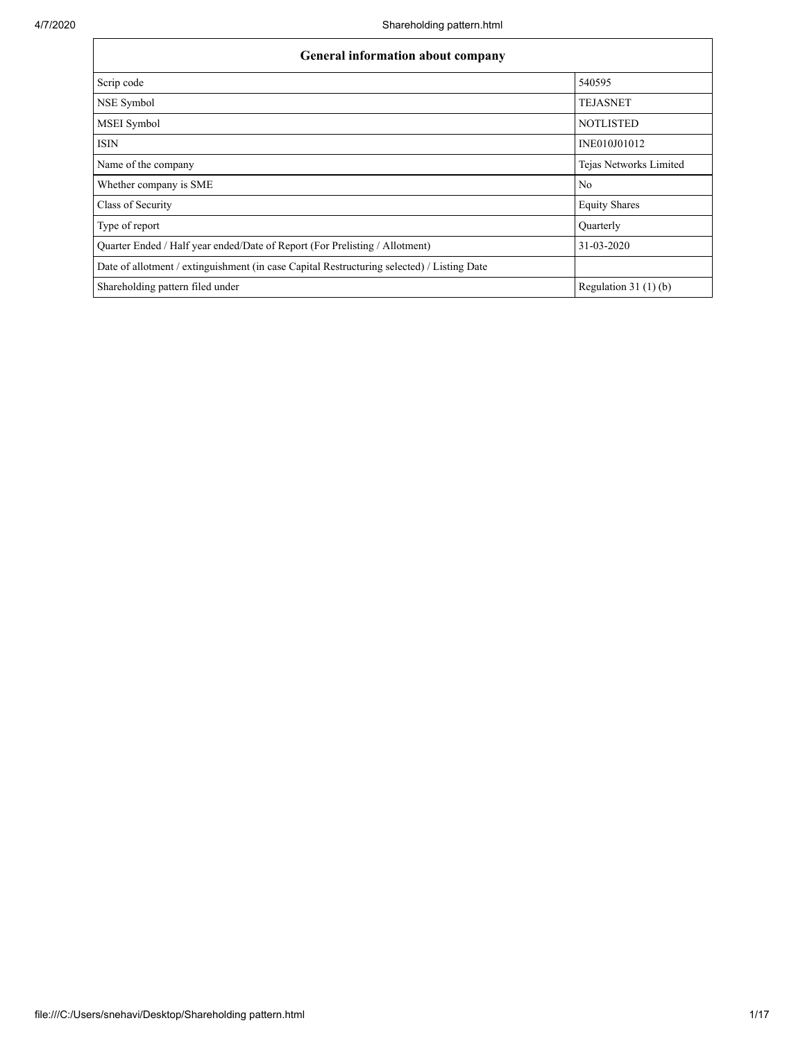| General information about company                                                          |                        |  |  |  |  |  |  |  |
|--------------------------------------------------------------------------------------------|------------------------|--|--|--|--|--|--|--|
| Scrip code                                                                                 | 540595                 |  |  |  |  |  |  |  |
| NSE Symbol                                                                                 | <b>TEJASNET</b>        |  |  |  |  |  |  |  |
| MSEI Symbol                                                                                | <b>NOTLISTED</b>       |  |  |  |  |  |  |  |
| <b>ISIN</b>                                                                                | INE010J01012           |  |  |  |  |  |  |  |
| Name of the company                                                                        | Tejas Networks Limited |  |  |  |  |  |  |  |
| Whether company is SME                                                                     | N <sub>o</sub>         |  |  |  |  |  |  |  |
| Class of Security                                                                          | <b>Equity Shares</b>   |  |  |  |  |  |  |  |
| Type of report                                                                             | Quarterly              |  |  |  |  |  |  |  |
| Quarter Ended / Half year ended/Date of Report (For Prelisting / Allotment)                | 31-03-2020             |  |  |  |  |  |  |  |
| Date of allotment / extinguishment (in case Capital Restructuring selected) / Listing Date |                        |  |  |  |  |  |  |  |
| Shareholding pattern filed under                                                           | Regulation $31(1)(b)$  |  |  |  |  |  |  |  |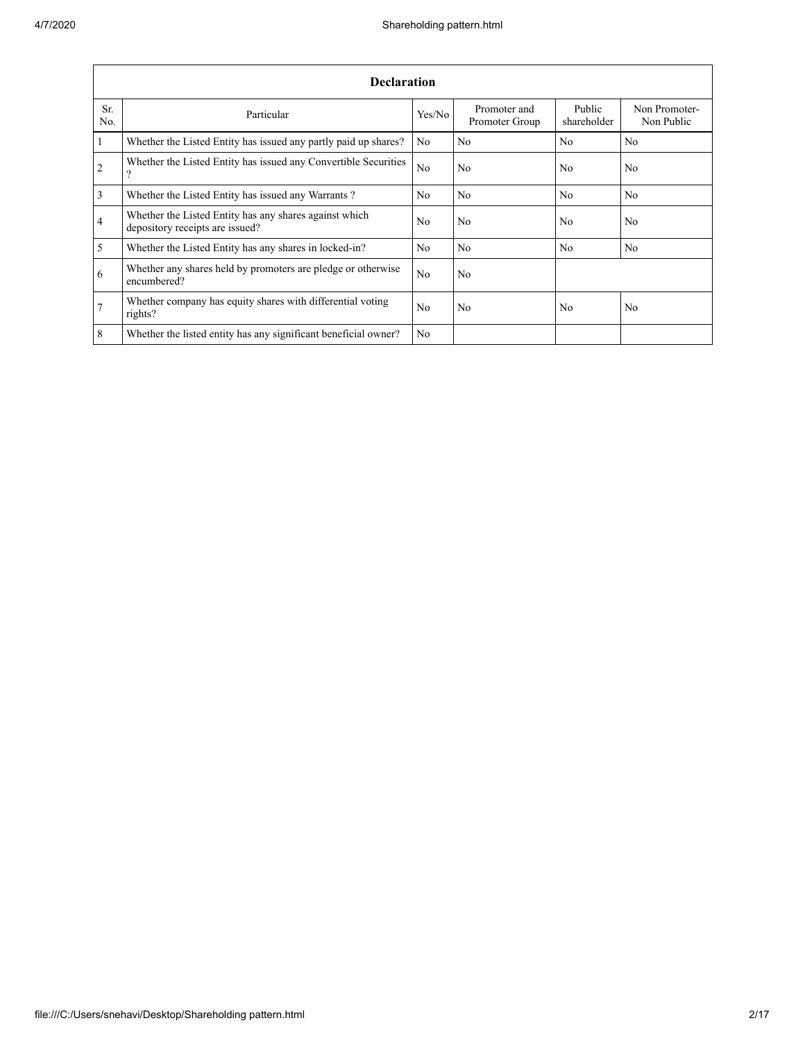|                         | <b>Declaration</b>                                                                        |                |                                |                       |                             |  |  |  |  |  |  |  |  |
|-------------------------|-------------------------------------------------------------------------------------------|----------------|--------------------------------|-----------------------|-----------------------------|--|--|--|--|--|--|--|--|
| Sr.<br>No.              | Particular                                                                                | Yes/No         | Promoter and<br>Promoter Group | Public<br>shareholder | Non Promoter-<br>Non Public |  |  |  |  |  |  |  |  |
| $\overline{1}$          | Whether the Listed Entity has issued any partly paid up shares?                           | No             | No                             | N <sub>o</sub>        | No                          |  |  |  |  |  |  |  |  |
| $\overline{2}$          | Whether the Listed Entity has issued any Convertible Securities<br>$\Omega$               | No             | No                             | No                    | N <sub>0</sub>              |  |  |  |  |  |  |  |  |
| $\overline{\mathbf{3}}$ | Whether the Listed Entity has issued any Warrants?                                        | No             | No                             | N <sub>0</sub>        | N <sub>o</sub>              |  |  |  |  |  |  |  |  |
| $\overline{4}$          | Whether the Listed Entity has any shares against which<br>depository receipts are issued? | No             | No                             | N <sub>0</sub>        | No                          |  |  |  |  |  |  |  |  |
| $\overline{5}$          | Whether the Listed Entity has any shares in locked-in?                                    | No             | No                             | N <sub>0</sub>        | N <sub>o</sub>              |  |  |  |  |  |  |  |  |
| 6                       | Whether any shares held by promoters are pledge or otherwise<br>encumbered?               | No             | No                             |                       |                             |  |  |  |  |  |  |  |  |
| $7\overline{ }$         | Whether company has equity shares with differential voting<br>rights?                     | N <sub>0</sub> | N <sub>0</sub>                 | N <sub>0</sub>        | N <sub>o</sub>              |  |  |  |  |  |  |  |  |
| 8                       | Whether the listed entity has any significant beneficial owner?                           | No             |                                |                       |                             |  |  |  |  |  |  |  |  |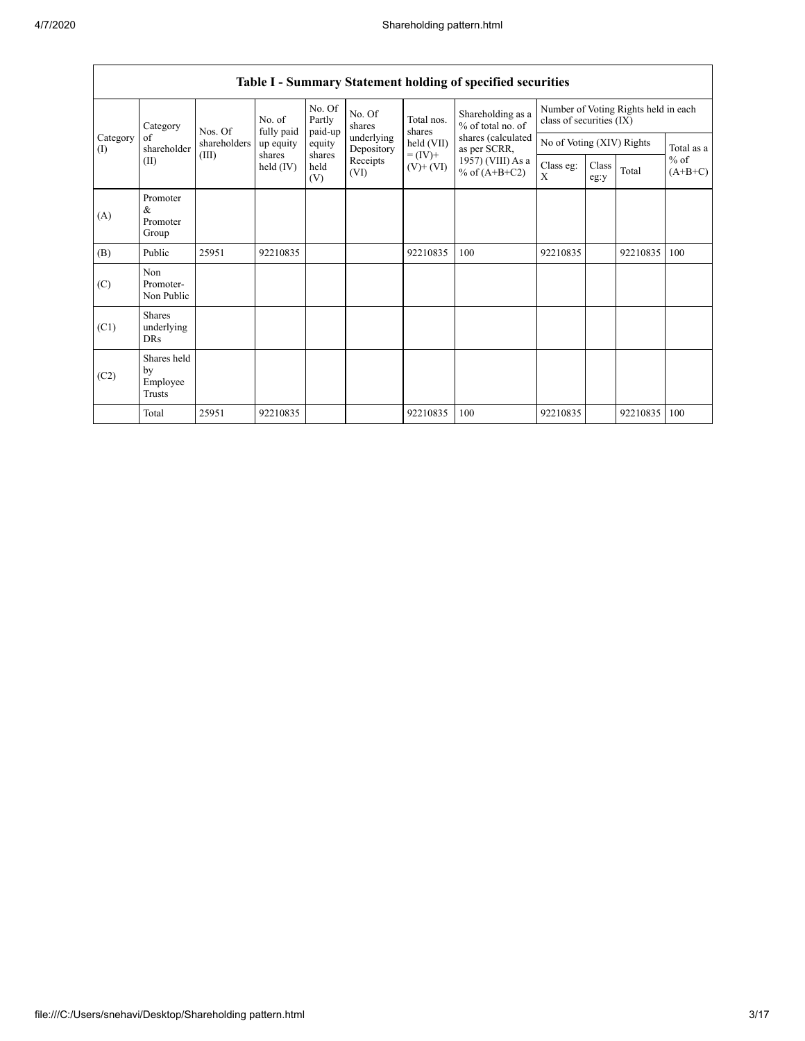|                 | Category<br>of<br>shareholder             | Nos. Of<br>shareholders<br>(III)<br>shares | No. of<br>fully paid | No. Of<br>Partly<br>paid-up | No. Of<br>shares         | Total nos.<br>shares<br>held (VII)<br>$= (IV) +$<br>$(V)$ + $(VI)$ | Shareholding as a<br>% of total no. of<br>shares (calculated<br>as per SCRR,<br>1957) (VIII) As a<br>% of $(A+B+C2)$ | Number of Voting Rights held in each<br>class of securities (IX) |               |          |                     |
|-----------------|-------------------------------------------|--------------------------------------------|----------------------|-----------------------------|--------------------------|--------------------------------------------------------------------|----------------------------------------------------------------------------------------------------------------------|------------------------------------------------------------------|---------------|----------|---------------------|
| Category<br>(I) |                                           |                                            | up equity            | equity                      | underlying<br>Depository |                                                                    |                                                                                                                      | No of Voting (XIV) Rights                                        |               |          | Total as a          |
|                 | (II)                                      |                                            | held (IV)            | shares<br>held<br>(V)       | Receipts<br>(VI)         |                                                                    |                                                                                                                      | Class eg:<br>X                                                   | Class<br>eg:y | Total    | $%$ of<br>$(A+B+C)$ |
| (A)             | Promoter<br>&<br>Promoter<br>Group        |                                            |                      |                             |                          |                                                                    |                                                                                                                      |                                                                  |               |          |                     |
| (B)             | Public                                    | 25951                                      | 92210835             |                             |                          | 92210835                                                           | 100                                                                                                                  | 92210835                                                         |               | 92210835 | 100                 |
| (C)             | Non<br>Promoter-<br>Non Public            |                                            |                      |                             |                          |                                                                    |                                                                                                                      |                                                                  |               |          |                     |
| (C1)            | <b>Shares</b><br>underlying<br><b>DRs</b> |                                            |                      |                             |                          |                                                                    |                                                                                                                      |                                                                  |               |          |                     |
| (C2)            | Shares held<br>by<br>Employee<br>Trusts   |                                            |                      |                             |                          |                                                                    |                                                                                                                      |                                                                  |               |          |                     |
|                 | Total                                     | 25951                                      | 92210835             |                             |                          | 92210835                                                           | 100                                                                                                                  | 92210835                                                         |               | 92210835 | 100                 |

## **Table I - Summary Statement holding of specified securities**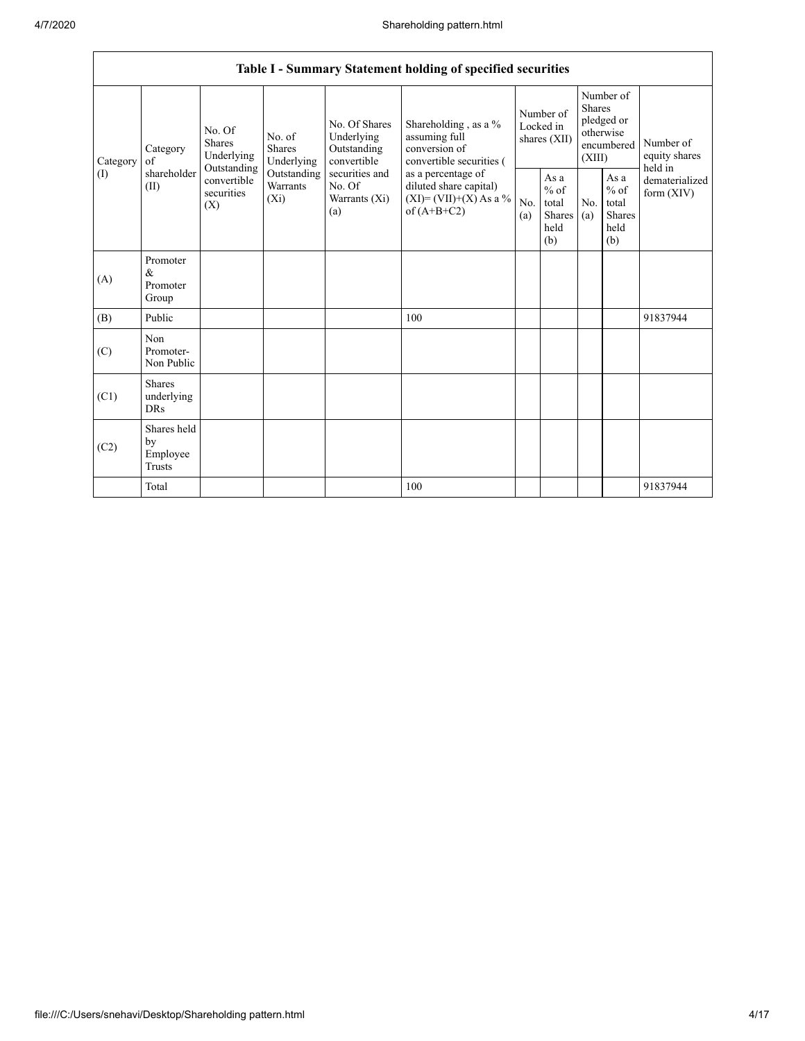|                 |                                           |                                                                                                                                |                         |                                                                                                               | Table I - Summary Statement holding of specified securities                                                                                                                    |                                        |                                                  |                                                                        |                                                         |                                       |
|-----------------|-------------------------------------------|--------------------------------------------------------------------------------------------------------------------------------|-------------------------|---------------------------------------------------------------------------------------------------------------|--------------------------------------------------------------------------------------------------------------------------------------------------------------------------------|----------------------------------------|--------------------------------------------------|------------------------------------------------------------------------|---------------------------------------------------------|---------------------------------------|
| Category<br>(1) | Category<br>of<br>shareholder<br>(II)     | No. Of<br>No. of<br><b>Shares</b><br><b>Shares</b><br>Underlying<br>Outstanding<br>convertible<br>securities<br>$(X_i)$<br>(X) | Underlying              | No. Of Shares<br>Underlying<br>Outstanding<br>convertible<br>securities and<br>No. Of<br>Warrants (Xi)<br>(a) | Shareholding, as a %<br>assuming full<br>conversion of<br>convertible securities (<br>as a percentage of<br>diluted share capital)<br>$(XI)=(VII)+(X) As a %$<br>of $(A+B+C2)$ | Number of<br>Locked in<br>shares (XII) |                                                  | Number of<br>Shares<br>pledged or<br>otherwise<br>encumbered<br>(XIII) |                                                         | Number of<br>equity shares<br>held in |
|                 |                                           |                                                                                                                                | Outstanding<br>Warrants |                                                                                                               |                                                                                                                                                                                | No.<br>(a)                             | As a<br>$%$ of<br>total<br>Shares<br>held<br>(b) | No.<br>(a)                                                             | As a<br>$%$ of<br>total<br><b>Shares</b><br>held<br>(b) | dematerialized<br>form $(XIV)$        |
| (A)             | Promoter<br>&<br>Promoter<br>Group        |                                                                                                                                |                         |                                                                                                               |                                                                                                                                                                                |                                        |                                                  |                                                                        |                                                         |                                       |
| (B)             | Public                                    |                                                                                                                                |                         |                                                                                                               | 100                                                                                                                                                                            |                                        |                                                  |                                                                        |                                                         | 91837944                              |
| (C)             | Non<br>Promoter-<br>Non Public            |                                                                                                                                |                         |                                                                                                               |                                                                                                                                                                                |                                        |                                                  |                                                                        |                                                         |                                       |
| (C1)            | <b>Shares</b><br>underlying<br><b>DRs</b> |                                                                                                                                |                         |                                                                                                               |                                                                                                                                                                                |                                        |                                                  |                                                                        |                                                         |                                       |
| (C2)            | Shares held<br>by<br>Employee<br>Trusts   |                                                                                                                                |                         |                                                                                                               |                                                                                                                                                                                |                                        |                                                  |                                                                        |                                                         |                                       |
|                 | Total                                     |                                                                                                                                |                         |                                                                                                               | 100                                                                                                                                                                            |                                        |                                                  |                                                                        |                                                         | 91837944                              |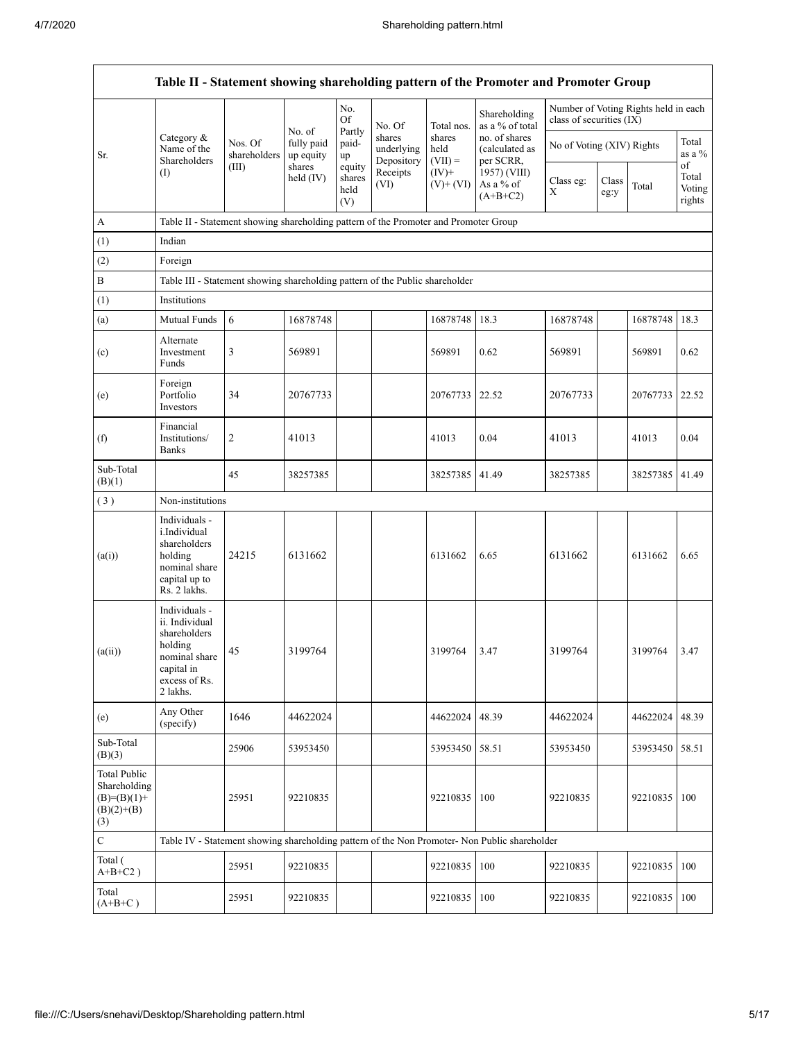|                                                                             |                                                                                                                        |                         |                         |                                 |                                    |                             | Table II - Statement showing shareholding pattern of the Promoter and Promoter Group          |                           |               |                                      |                                 |  |
|-----------------------------------------------------------------------------|------------------------------------------------------------------------------------------------------------------------|-------------------------|-------------------------|---------------------------------|------------------------------------|-----------------------------|-----------------------------------------------------------------------------------------------|---------------------------|---------------|--------------------------------------|---------------------------------|--|
|                                                                             |                                                                                                                        |                         | No. of                  | No.<br>Of                       | No. Of                             | Total nos.                  | Shareholding<br>as a % of total                                                               | class of securities (IX)  |               | Number of Voting Rights held in each |                                 |  |
| Sr.                                                                         | Category &<br>Name of the<br>Shareholders                                                                              | Nos. Of<br>shareholders | fully paid<br>up equity | Partly<br>paid-<br>up           | shares<br>underlying<br>Depository | shares<br>held<br>$(VII) =$ | no. of shares<br>(calculated as<br>per SCRR,                                                  | No of Voting (XIV) Rights |               |                                      | Total<br>as a %                 |  |
|                                                                             | (1)                                                                                                                    | (III)                   | shares<br>held $(IV)$   | equity<br>shares<br>held<br>(V) | Receipts<br>(VI)                   | $(IV)+$<br>$(V)$ + $(VI)$   | 1957) (VIII)<br>As a % of<br>$(A+B+C2)$                                                       | Class eg:<br>Χ            | Class<br>eg:y | Total                                | of<br>Total<br>Voting<br>rights |  |
| A                                                                           | Table II - Statement showing shareholding pattern of the Promoter and Promoter Group                                   |                         |                         |                                 |                                    |                             |                                                                                               |                           |               |                                      |                                 |  |
| (1)                                                                         | Indian                                                                                                                 |                         |                         |                                 |                                    |                             |                                                                                               |                           |               |                                      |                                 |  |
| (2)                                                                         | Foreign                                                                                                                |                         |                         |                                 |                                    |                             |                                                                                               |                           |               |                                      |                                 |  |
| $\, {\bf B}$                                                                | Table III - Statement showing shareholding pattern of the Public shareholder                                           |                         |                         |                                 |                                    |                             |                                                                                               |                           |               |                                      |                                 |  |
| (1)                                                                         | Institutions                                                                                                           |                         |                         |                                 |                                    |                             |                                                                                               |                           |               |                                      |                                 |  |
| (a)                                                                         | Mutual Funds                                                                                                           | 6                       | 16878748                |                                 |                                    | 16878748                    | 18.3                                                                                          | 16878748                  |               | 16878748                             | 18.3                            |  |
| (c)                                                                         | Alternate<br>Investment<br>Funds                                                                                       | 3                       | 569891                  |                                 |                                    | 569891                      | 0.62                                                                                          | 569891                    |               | 569891                               | 0.62                            |  |
| (e)                                                                         | Foreign<br>Portfolio<br>Investors                                                                                      | 34                      | 20767733                |                                 |                                    | 20767733                    | 22.52                                                                                         | 20767733                  |               | 20767733                             | 22.52                           |  |
| (f)                                                                         | Financial<br>Institutions/<br><b>Banks</b>                                                                             | 2                       | 41013                   |                                 |                                    | 41013                       | 0.04                                                                                          | 41013                     |               | 41013                                | 0.04                            |  |
| Sub-Total<br>(B)(1)                                                         |                                                                                                                        | 45                      | 38257385                |                                 |                                    | 38257385                    | 41.49                                                                                         | 38257385                  |               | 38257385                             | 41.49                           |  |
| (3)                                                                         | Non-institutions                                                                                                       |                         |                         |                                 |                                    |                             |                                                                                               |                           |               |                                      |                                 |  |
| (a(i))                                                                      | Individuals -<br>i.Individual<br>shareholders<br>holding<br>nominal share<br>capital up to<br>Rs. 2 lakhs.             | 24215                   | 6131662                 |                                 |                                    | 6131662                     | 6.65                                                                                          | 6131662                   |               | 6131662                              | 6.65                            |  |
| (a(ii))                                                                     | Individuals -<br>ii. Individual<br>shareholders<br>holding<br>nominal share<br>capital in<br>excess of Rs.<br>2 lakhs. | 45                      | 3199764                 |                                 |                                    | 3199764                     | 3.47                                                                                          | 3199764                   |               | 3199764                              | 3.47                            |  |
| (e)                                                                         | Any Other<br>(specify)                                                                                                 | 1646                    | 44622024                |                                 |                                    | 44622024                    | 48.39                                                                                         | 44622024                  |               | 44622024                             | 48.39                           |  |
| Sub-Total<br>(B)(3)                                                         |                                                                                                                        | 25906                   | 53953450                |                                 |                                    | 53953450                    | 58.51                                                                                         | 53953450                  |               | 53953450                             | 58.51                           |  |
| <b>Total Public</b><br>Shareholding<br>$(B)=(B)(1)+$<br>$(B)(2)+(B)$<br>(3) |                                                                                                                        | 25951                   | 92210835                |                                 |                                    | 92210835                    | 100                                                                                           | 92210835                  |               | 92210835                             | 100                             |  |
| $\mathbf C$                                                                 |                                                                                                                        |                         |                         |                                 |                                    |                             | Table IV - Statement showing shareholding pattern of the Non Promoter- Non Public shareholder |                           |               |                                      |                                 |  |
| Total (<br>$A+B+C2$ )                                                       |                                                                                                                        | 25951                   | 92210835                |                                 |                                    | 92210835                    | 100                                                                                           | 92210835                  |               | 92210835                             | 100                             |  |
| Total<br>$(A+B+C)$                                                          |                                                                                                                        | 25951                   | 92210835                |                                 |                                    | 92210835                    | 100                                                                                           | 92210835                  |               | 92210835                             | 100                             |  |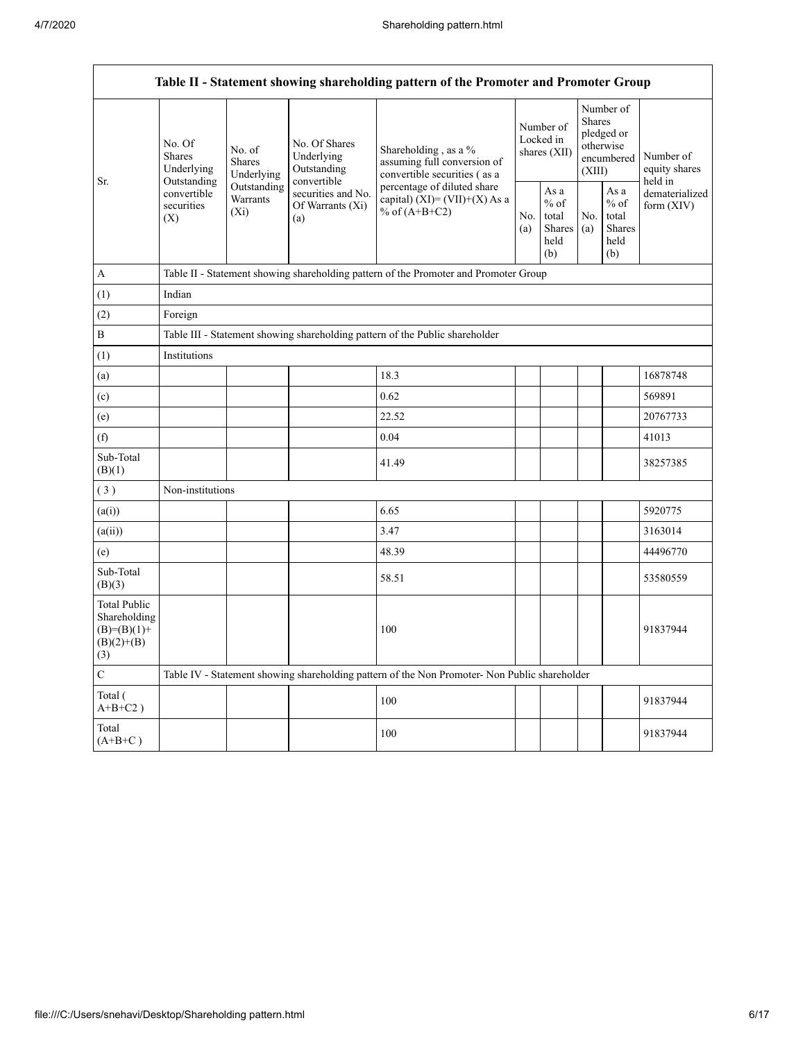$\mathsf{r}$ 

| Table II - Statement showing shareholding pattern of the Promoter and Promoter Group |                                                                                          |                                                                                                    |                                            |                                                                                               |                                        |                                                         |                                                                               |                                                  |                                                                         |  |  |  |
|--------------------------------------------------------------------------------------|------------------------------------------------------------------------------------------|----------------------------------------------------------------------------------------------------|--------------------------------------------|-----------------------------------------------------------------------------------------------|----------------------------------------|---------------------------------------------------------|-------------------------------------------------------------------------------|--------------------------------------------------|-------------------------------------------------------------------------|--|--|--|
| Sr.                                                                                  | No. Of<br><b>Shares</b><br>Underlying<br>Outstanding<br>convertible<br>securities<br>(X) | No. of<br>Shares<br>Underlying                                                                     | No. Of Shares<br>Underlying<br>Outstanding | Shareholding, as a %<br>assuming full conversion of<br>convertible securities (as a           | Number of<br>Locked in<br>shares (XII) |                                                         | Number of<br><b>Shares</b><br>pledged or<br>otherwise<br>encumbered<br>(XIII) |                                                  | Number of<br>equity shares<br>held in<br>dematerialized<br>form $(XIV)$ |  |  |  |
|                                                                                      |                                                                                          | convertible<br>Outstanding<br>securities and No.<br>Warrants<br>Of Warrants (Xi)<br>$(X_i)$<br>(a) |                                            | percentage of diluted share<br>capital) $(XI) = (VII)+(X)$ As a<br>% of $(A+B+C2)$            |                                        | As a<br>$%$ of<br>total<br><b>Shares</b><br>held<br>(b) | No.<br>(a)                                                                    | As a<br>$%$ of<br>total<br>Shares<br>held<br>(b) |                                                                         |  |  |  |
| A                                                                                    |                                                                                          |                                                                                                    |                                            | Table II - Statement showing shareholding pattern of the Promoter and Promoter Group          |                                        |                                                         |                                                                               |                                                  |                                                                         |  |  |  |
| (1)                                                                                  | Indian                                                                                   |                                                                                                    |                                            |                                                                                               |                                        |                                                         |                                                                               |                                                  |                                                                         |  |  |  |
| (2)                                                                                  | Foreign                                                                                  |                                                                                                    |                                            |                                                                                               |                                        |                                                         |                                                                               |                                                  |                                                                         |  |  |  |
| $\, {\bf B}$                                                                         |                                                                                          | Table III - Statement showing shareholding pattern of the Public shareholder                       |                                            |                                                                                               |                                        |                                                         |                                                                               |                                                  |                                                                         |  |  |  |
| (1)                                                                                  | Institutions                                                                             |                                                                                                    |                                            |                                                                                               |                                        |                                                         |                                                                               |                                                  |                                                                         |  |  |  |
| (a)                                                                                  |                                                                                          |                                                                                                    |                                            | 18.3                                                                                          |                                        |                                                         |                                                                               |                                                  | 16878748                                                                |  |  |  |
| (c)                                                                                  |                                                                                          |                                                                                                    |                                            | 0.62                                                                                          |                                        |                                                         |                                                                               |                                                  | 569891                                                                  |  |  |  |
| (e)                                                                                  |                                                                                          |                                                                                                    |                                            | 22.52                                                                                         |                                        |                                                         |                                                                               |                                                  | 20767733                                                                |  |  |  |
| (f)                                                                                  |                                                                                          |                                                                                                    |                                            | 0.04                                                                                          |                                        |                                                         |                                                                               |                                                  | 41013                                                                   |  |  |  |
| Sub-Total<br>(B)(1)                                                                  |                                                                                          |                                                                                                    |                                            | 41.49                                                                                         |                                        |                                                         |                                                                               |                                                  | 38257385                                                                |  |  |  |
| (3)                                                                                  | Non-institutions                                                                         |                                                                                                    |                                            |                                                                                               |                                        |                                                         |                                                                               |                                                  |                                                                         |  |  |  |
| (a(i))                                                                               |                                                                                          |                                                                                                    |                                            | 6.65                                                                                          |                                        |                                                         |                                                                               |                                                  | 5920775                                                                 |  |  |  |
| (a(ii))                                                                              |                                                                                          |                                                                                                    |                                            | 3.47                                                                                          |                                        |                                                         |                                                                               |                                                  | 3163014                                                                 |  |  |  |
| (e)                                                                                  |                                                                                          |                                                                                                    |                                            | 48.39                                                                                         |                                        |                                                         |                                                                               |                                                  | 44496770                                                                |  |  |  |
| Sub-Total<br>(B)(3)                                                                  |                                                                                          |                                                                                                    |                                            | 58.51                                                                                         |                                        |                                                         |                                                                               |                                                  | 53580559                                                                |  |  |  |
| Total Public<br>Shareholding<br>$(B)=(B)(1)+$<br>$(B)(2)+(B)$<br>(3)                 |                                                                                          |                                                                                                    |                                            | 100                                                                                           |                                        |                                                         |                                                                               |                                                  | 91837944                                                                |  |  |  |
| $\mathbf C$                                                                          |                                                                                          |                                                                                                    |                                            | Table IV - Statement showing shareholding pattern of the Non Promoter- Non Public shareholder |                                        |                                                         |                                                                               |                                                  |                                                                         |  |  |  |
| Total (<br>$A+B+C2$ )                                                                |                                                                                          |                                                                                                    |                                            | 100                                                                                           |                                        |                                                         |                                                                               |                                                  | 91837944                                                                |  |  |  |
| Total<br>$(A+B+C)$                                                                   |                                                                                          |                                                                                                    |                                            | 100                                                                                           |                                        |                                                         |                                                                               |                                                  | 91837944                                                                |  |  |  |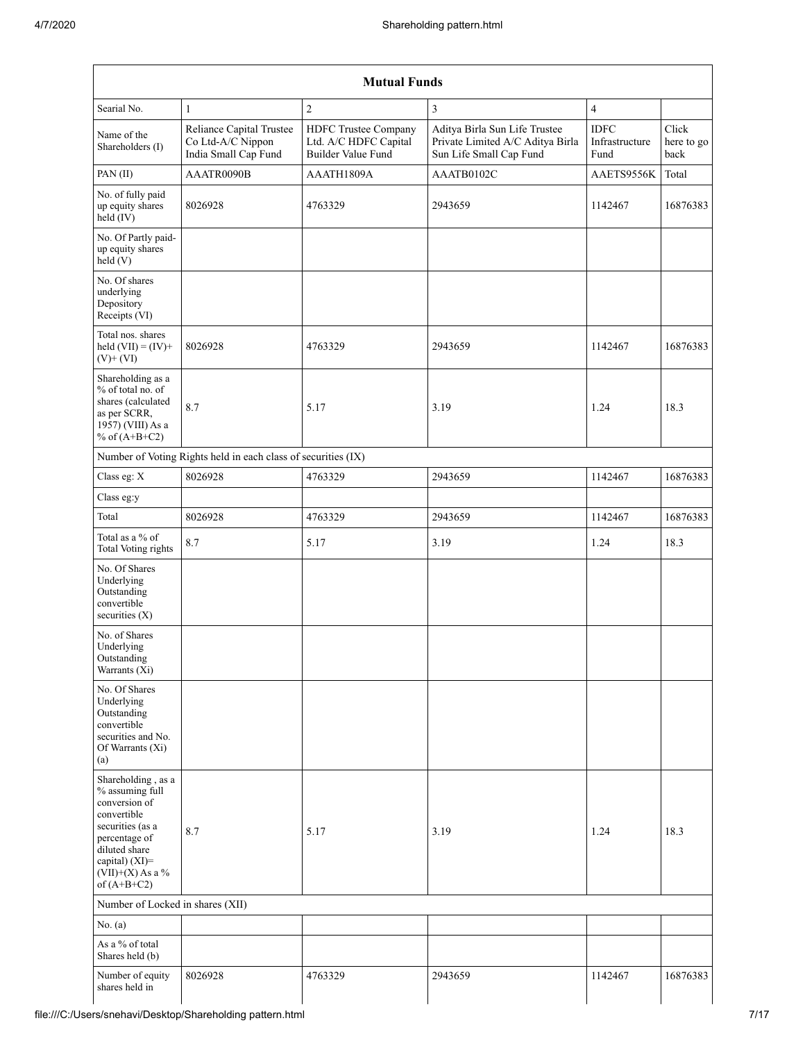|                                                                                                                                                                                      | <b>Mutual Funds</b>                                                   |                                                                     |                                                                                              |                                       |                             |  |  |  |  |  |  |  |
|--------------------------------------------------------------------------------------------------------------------------------------------------------------------------------------|-----------------------------------------------------------------------|---------------------------------------------------------------------|----------------------------------------------------------------------------------------------|---------------------------------------|-----------------------------|--|--|--|--|--|--|--|
| Searial No.                                                                                                                                                                          | $\mathbf{1}$                                                          | $\overline{c}$                                                      | $\overline{3}$                                                                               | $\overline{4}$                        |                             |  |  |  |  |  |  |  |
| Name of the<br>Shareholders (I)                                                                                                                                                      | Reliance Capital Trustee<br>Co Ltd-A/C Nippon<br>India Small Cap Fund | HDFC Trustee Company<br>Ltd. A/C HDFC Capital<br>Builder Value Fund | Aditya Birla Sun Life Trustee<br>Private Limited A/C Aditya Birla<br>Sun Life Small Cap Fund | <b>IDFC</b><br>Infrastructure<br>Fund | Click<br>here to go<br>back |  |  |  |  |  |  |  |
| PAN (II)                                                                                                                                                                             | AAATR0090B                                                            | AAATH1809A                                                          | AAATB0102C                                                                                   | AAETS9556K                            | Total                       |  |  |  |  |  |  |  |
| No. of fully paid<br>up equity shares<br>held (IV)                                                                                                                                   | 8026928                                                               | 4763329                                                             | 2943659                                                                                      | 1142467                               | 16876383                    |  |  |  |  |  |  |  |
| No. Of Partly paid-<br>up equity shares<br>held(V)                                                                                                                                   |                                                                       |                                                                     |                                                                                              |                                       |                             |  |  |  |  |  |  |  |
| No. Of shares<br>underlying<br>Depository<br>Receipts (VI)                                                                                                                           |                                                                       |                                                                     |                                                                                              |                                       |                             |  |  |  |  |  |  |  |
| Total nos. shares<br>held $(VII) = (IV) +$<br>$(V)$ + $(VI)$                                                                                                                         | 8026928                                                               | 4763329                                                             | 2943659                                                                                      | 1142467                               | 16876383                    |  |  |  |  |  |  |  |
| Shareholding as a<br>% of total no. of<br>shares (calculated<br>as per SCRR,<br>1957) (VIII) As a<br>% of $(A+B+C2)$                                                                 | 8.7                                                                   | 5.17                                                                | 3.19                                                                                         | 1.24                                  | 18.3                        |  |  |  |  |  |  |  |
|                                                                                                                                                                                      | Number of Voting Rights held in each class of securities (IX)         |                                                                     |                                                                                              |                                       |                             |  |  |  |  |  |  |  |
| Class eg: X                                                                                                                                                                          | 8026928                                                               | 4763329                                                             | 2943659                                                                                      | 1142467                               | 16876383                    |  |  |  |  |  |  |  |
| Class eg:y                                                                                                                                                                           |                                                                       |                                                                     |                                                                                              |                                       |                             |  |  |  |  |  |  |  |
| Total                                                                                                                                                                                | 8026928                                                               | 4763329                                                             | 2943659                                                                                      | 1142467                               | 16876383                    |  |  |  |  |  |  |  |
| Total as a % of<br>Total Voting rights                                                                                                                                               | 8.7                                                                   | 5.17                                                                | 3.19                                                                                         | 1.24                                  | 18.3                        |  |  |  |  |  |  |  |
| No. Of Shares<br>Underlying<br>Outstanding<br>convertible<br>securities $(X)$                                                                                                        |                                                                       |                                                                     |                                                                                              |                                       |                             |  |  |  |  |  |  |  |
| No. of Shares<br>Underlying<br>Outstanding<br>Warrants (Xi)                                                                                                                          |                                                                       |                                                                     |                                                                                              |                                       |                             |  |  |  |  |  |  |  |
| No. Of Shares<br>Underlying<br>Outstanding<br>convertible<br>securities and No.<br>Of Warrants (Xi)<br>(a)                                                                           |                                                                       |                                                                     |                                                                                              |                                       |                             |  |  |  |  |  |  |  |
| Shareholding, as a<br>% assuming full<br>conversion of<br>convertible<br>securities (as a<br>percentage of<br>diluted share<br>capital) (XI)=<br>$(VII)+(X)$ As a %<br>of $(A+B+C2)$ | 8.7                                                                   | 5.17                                                                | 3.19                                                                                         | 1.24                                  | 18.3                        |  |  |  |  |  |  |  |
| Number of Locked in shares (XII)                                                                                                                                                     |                                                                       |                                                                     |                                                                                              |                                       |                             |  |  |  |  |  |  |  |
| No. (a)                                                                                                                                                                              |                                                                       |                                                                     |                                                                                              |                                       |                             |  |  |  |  |  |  |  |
| As a % of total<br>Shares held (b)                                                                                                                                                   |                                                                       |                                                                     |                                                                                              |                                       |                             |  |  |  |  |  |  |  |
| Number of equity<br>shares held in                                                                                                                                                   | 8026928                                                               | 4763329                                                             | 2943659                                                                                      | 1142467                               | 16876383                    |  |  |  |  |  |  |  |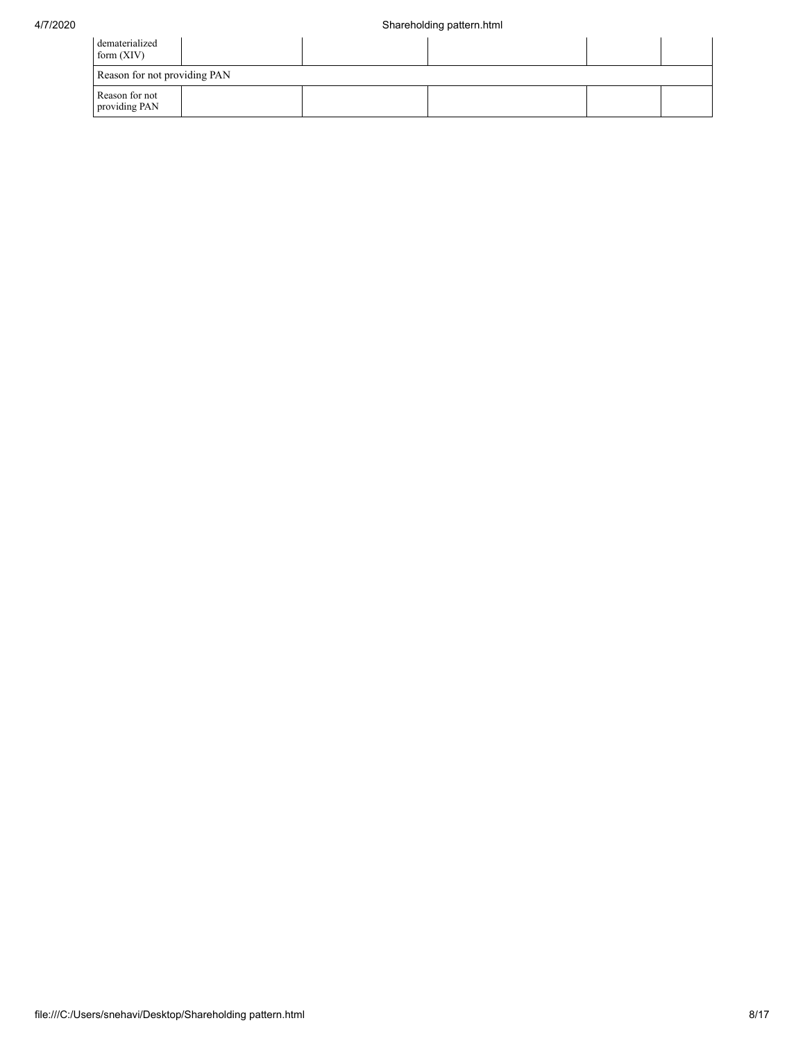| dematerialized<br>form $(XIV)$  |  |  |  |  |  |  |  |  |
|---------------------------------|--|--|--|--|--|--|--|--|
| Reason for not providing PAN    |  |  |  |  |  |  |  |  |
| Reason for not<br>providing PAN |  |  |  |  |  |  |  |  |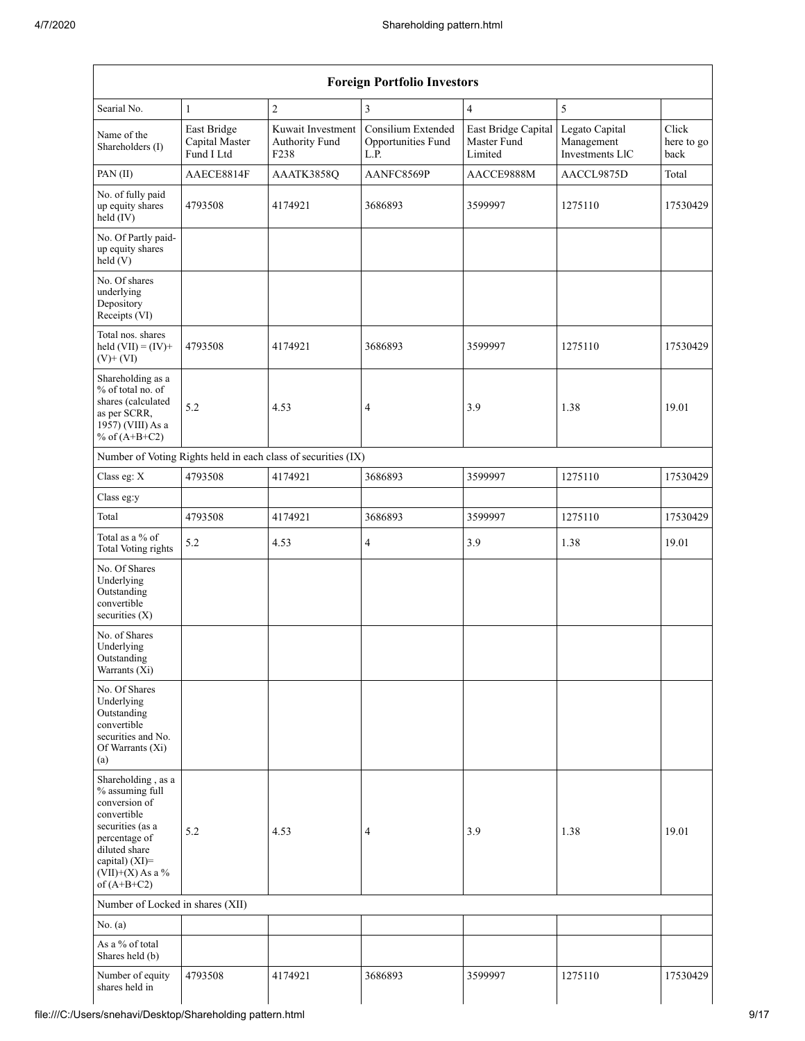|                                                                                                                                                                                      | <b>Foreign Portfolio Investors</b>          |                                                               |                                                  |                                               |                                                 |                             |  |  |  |  |  |  |  |
|--------------------------------------------------------------------------------------------------------------------------------------------------------------------------------------|---------------------------------------------|---------------------------------------------------------------|--------------------------------------------------|-----------------------------------------------|-------------------------------------------------|-----------------------------|--|--|--|--|--|--|--|
| Searial No.                                                                                                                                                                          | $\mathbf{1}$                                | $\sqrt{2}$                                                    | 3                                                | $\overline{4}$                                | 5                                               |                             |  |  |  |  |  |  |  |
| Name of the<br>Shareholders (I)                                                                                                                                                      | East Bridge<br>Capital Master<br>Fund I Ltd | Kuwait Investment<br>Authority Fund<br>F <sub>238</sub>       | Consilium Extended<br>Opportunities Fund<br>L.P. | East Bridge Capital<br>Master Fund<br>Limited | Legato Capital<br>Management<br>Investments LlC | Click<br>here to go<br>back |  |  |  |  |  |  |  |
| PAN (II)                                                                                                                                                                             | AAECE8814F                                  | AAATK3858Q                                                    | AANFC8569P                                       | AACCE9888M                                    | AACCL9875D                                      | Total                       |  |  |  |  |  |  |  |
| No. of fully paid<br>up equity shares<br>held (IV)                                                                                                                                   | 4793508                                     | 4174921                                                       | 3686893                                          | 3599997                                       | 1275110                                         | 17530429                    |  |  |  |  |  |  |  |
| No. Of Partly paid-<br>up equity shares<br>held(V)                                                                                                                                   |                                             |                                                               |                                                  |                                               |                                                 |                             |  |  |  |  |  |  |  |
| No. Of shares<br>underlying<br>Depository<br>Receipts (VI)                                                                                                                           |                                             |                                                               |                                                  |                                               |                                                 |                             |  |  |  |  |  |  |  |
| Total nos. shares<br>held $(VII) = (IV) +$<br>$(V)$ + $(VI)$                                                                                                                         | 4793508                                     | 4174921                                                       | 3686893                                          | 3599997                                       | 1275110                                         | 17530429                    |  |  |  |  |  |  |  |
| Shareholding as a<br>% of total no. of<br>shares (calculated<br>as per SCRR,<br>1957) (VIII) As a<br>% of $(A+B+C2)$                                                                 | 5.2                                         | 4.53                                                          | $\overline{4}$                                   | 3.9                                           | 1.38                                            | 19.01                       |  |  |  |  |  |  |  |
|                                                                                                                                                                                      |                                             | Number of Voting Rights held in each class of securities (IX) |                                                  |                                               |                                                 |                             |  |  |  |  |  |  |  |
| Class eg: X                                                                                                                                                                          | 4793508                                     | 4174921                                                       | 3686893                                          | 3599997                                       | 1275110                                         | 17530429                    |  |  |  |  |  |  |  |
| Class eg:y                                                                                                                                                                           |                                             |                                                               |                                                  |                                               |                                                 |                             |  |  |  |  |  |  |  |
| Total                                                                                                                                                                                | 4793508                                     | 4174921                                                       | 3686893                                          | 3599997                                       | 1275110                                         | 17530429                    |  |  |  |  |  |  |  |
| Total as a % of<br>Total Voting rights                                                                                                                                               | 5.2                                         | 4.53                                                          | $\overline{4}$                                   | 3.9                                           | 1.38                                            | 19.01                       |  |  |  |  |  |  |  |
| No. Of Shares<br>Underlying<br>Outstanding<br>convertible<br>securities $(X)$                                                                                                        |                                             |                                                               |                                                  |                                               |                                                 |                             |  |  |  |  |  |  |  |
| No. of Shares<br>Underlying<br>Outstanding<br>Warrants (Xi)                                                                                                                          |                                             |                                                               |                                                  |                                               |                                                 |                             |  |  |  |  |  |  |  |
| No. Of Shares<br>Underlying<br>Outstanding<br>convertible<br>securities and No.<br>Of Warrants (Xi)<br>(a)                                                                           |                                             |                                                               |                                                  |                                               |                                                 |                             |  |  |  |  |  |  |  |
| Shareholding, as a<br>% assuming full<br>conversion of<br>convertible<br>securities (as a<br>percentage of<br>diluted share<br>capital) (XI)=<br>$(VII)+(X)$ As a %<br>of $(A+B+C2)$ | 5.2                                         | 4.53                                                          | $\overline{4}$                                   | 3.9                                           | 1.38                                            | 19.01                       |  |  |  |  |  |  |  |
| Number of Locked in shares (XII)                                                                                                                                                     |                                             |                                                               |                                                  |                                               |                                                 |                             |  |  |  |  |  |  |  |
| No. (a)                                                                                                                                                                              |                                             |                                                               |                                                  |                                               |                                                 |                             |  |  |  |  |  |  |  |
| As a % of total<br>Shares held (b)                                                                                                                                                   |                                             |                                                               |                                                  |                                               |                                                 |                             |  |  |  |  |  |  |  |
| Number of equity<br>shares held in                                                                                                                                                   | 4793508                                     | 4174921                                                       | 3686893                                          | 3599997                                       | 1275110                                         | 17530429                    |  |  |  |  |  |  |  |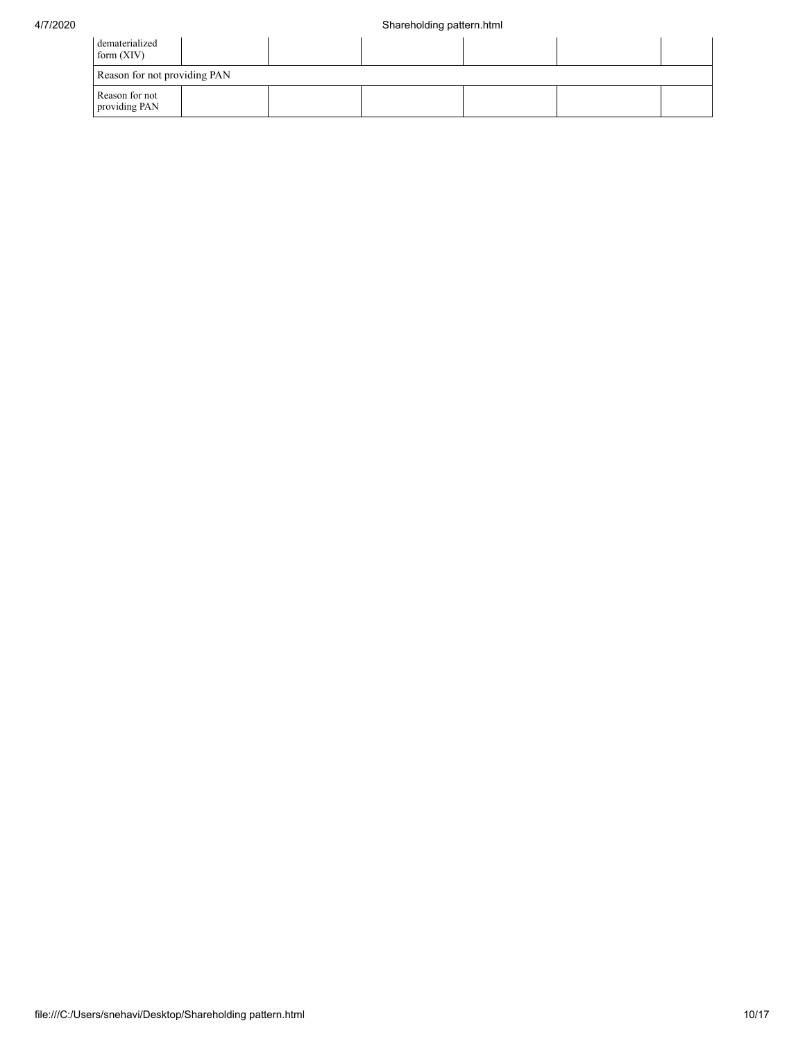| dematerialized<br>form $(XIV)$  |  |  |  |  |  |  |  |  |  |  |
|---------------------------------|--|--|--|--|--|--|--|--|--|--|
| Reason for not providing PAN    |  |  |  |  |  |  |  |  |  |  |
| Reason for not<br>providing PAN |  |  |  |  |  |  |  |  |  |  |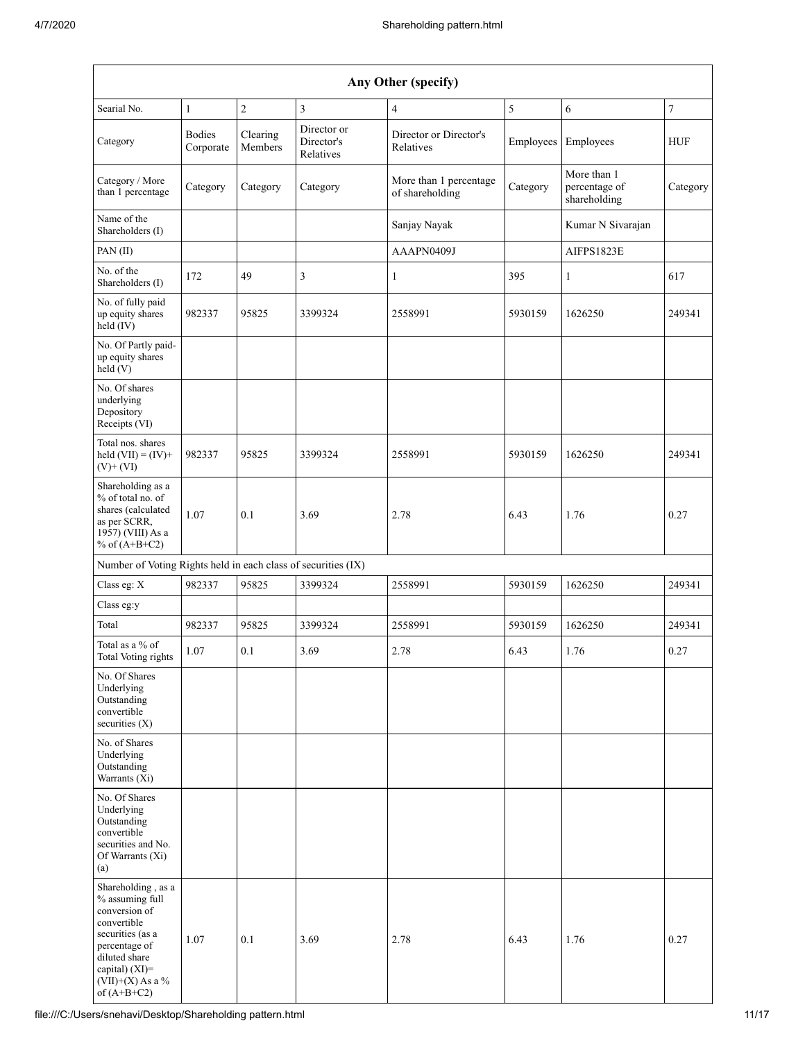|                                                                                                                                                                                         | Any Other (specify)        |                     |                                        |                                           |           |                                              |                  |  |  |  |  |  |  |
|-----------------------------------------------------------------------------------------------------------------------------------------------------------------------------------------|----------------------------|---------------------|----------------------------------------|-------------------------------------------|-----------|----------------------------------------------|------------------|--|--|--|--|--|--|
| Searial No.                                                                                                                                                                             | $\mathbf{1}$               | $\overline{c}$      | 3                                      | $\overline{4}$                            | 5         | 6                                            | $\boldsymbol{7}$ |  |  |  |  |  |  |
| Category                                                                                                                                                                                | <b>Bodies</b><br>Corporate | Clearing<br>Members | Director or<br>Director's<br>Relatives | Director or Director's<br>Relatives       | Employees | Employees                                    | HUF              |  |  |  |  |  |  |
| Category / More<br>than 1 percentage                                                                                                                                                    | Category                   | Category            | Category                               | More than 1 percentage<br>of shareholding | Category  | More than 1<br>percentage of<br>shareholding | Category         |  |  |  |  |  |  |
| Name of the<br>Shareholders (I)                                                                                                                                                         |                            |                     |                                        | Sanjay Nayak                              |           | Kumar N Sivarajan                            |                  |  |  |  |  |  |  |
| PAN (II)                                                                                                                                                                                |                            |                     |                                        | AAAPN0409J                                |           | AIFPS1823E                                   |                  |  |  |  |  |  |  |
| No. of the<br>Shareholders (I)                                                                                                                                                          | 172                        | 49                  | 3                                      | $\mathbf{1}$                              | 395       | $\mathbf{1}$                                 | 617              |  |  |  |  |  |  |
| No. of fully paid<br>up equity shares<br>held (IV)                                                                                                                                      | 982337                     | 95825               | 3399324                                | 2558991                                   | 5930159   | 1626250                                      | 249341           |  |  |  |  |  |  |
| No. Of Partly paid-<br>up equity shares<br>held (V)                                                                                                                                     |                            |                     |                                        |                                           |           |                                              |                  |  |  |  |  |  |  |
| No. Of shares<br>underlying<br>Depository<br>Receipts (VI)                                                                                                                              |                            |                     |                                        |                                           |           |                                              |                  |  |  |  |  |  |  |
| Total nos. shares<br>held $(VII) = (IV) +$<br>$(V)$ + $(VI)$                                                                                                                            | 982337                     | 95825               | 3399324                                | 2558991                                   | 5930159   | 1626250                                      | 249341           |  |  |  |  |  |  |
| Shareholding as a<br>% of total no. of<br>shares (calculated<br>as per SCRR,<br>1957) (VIII) As a<br>% of $(A+B+C2)$                                                                    | 1.07                       | 0.1                 | 3.69                                   | 2.78                                      | 6.43      | 1.76                                         | 0.27             |  |  |  |  |  |  |
| Number of Voting Rights held in each class of securities (IX)                                                                                                                           |                            |                     |                                        |                                           |           |                                              |                  |  |  |  |  |  |  |
| Class eg: X                                                                                                                                                                             | 982337                     | 95825               | 3399324                                | 2558991                                   | 5930159   | 1626250                                      | 249341           |  |  |  |  |  |  |
| Class eg:y                                                                                                                                                                              |                            |                     |                                        |                                           |           |                                              |                  |  |  |  |  |  |  |
| Total                                                                                                                                                                                   | 982337                     | 95825               | 3399324                                | 2558991                                   | 5930159   | 1626250                                      | 249341           |  |  |  |  |  |  |
| Total as a % of<br><b>Total Voting rights</b>                                                                                                                                           | 1.07                       | 0.1                 | 3.69                                   | 2.78                                      | 6.43      | 1.76                                         | 0.27             |  |  |  |  |  |  |
| No. Of Shares<br>Underlying<br>Outstanding<br>convertible<br>securities (X)                                                                                                             |                            |                     |                                        |                                           |           |                                              |                  |  |  |  |  |  |  |
| No. of Shares<br>Underlying<br>Outstanding<br>Warrants (Xi)                                                                                                                             |                            |                     |                                        |                                           |           |                                              |                  |  |  |  |  |  |  |
| No. Of Shares<br>Underlying<br>Outstanding<br>convertible<br>securities and No.<br>Of Warrants (Xi)<br>(a)                                                                              |                            |                     |                                        |                                           |           |                                              |                  |  |  |  |  |  |  |
| Shareholding, as a<br>% assuming full<br>conversion of<br>convertible<br>securities (as a<br>percentage of<br>diluted share<br>capital) $(XI)$ =<br>$(VII)+(X)$ As a %<br>of $(A+B+C2)$ | 1.07                       | 0.1                 | 3.69                                   | 2.78                                      | 6.43      | 1.76                                         | 0.27             |  |  |  |  |  |  |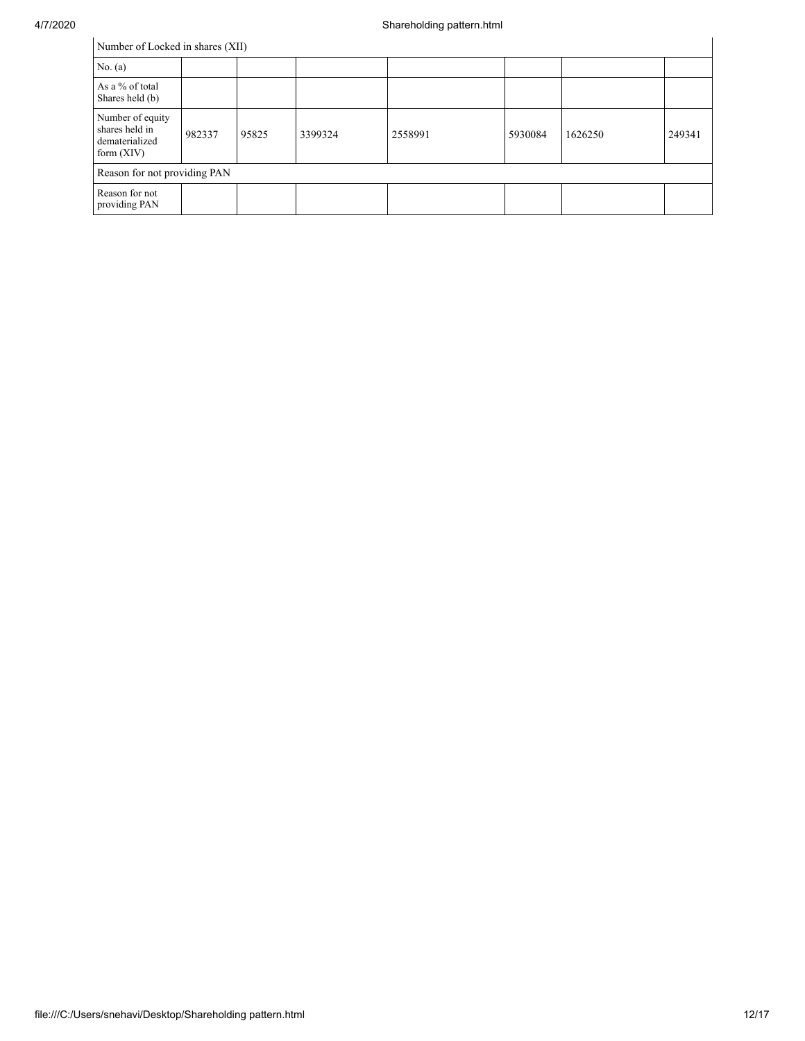| Number of Locked in shares (XII)                                     |        |       |         |         |         |         |        |
|----------------------------------------------------------------------|--------|-------|---------|---------|---------|---------|--------|
| No. (a)                                                              |        |       |         |         |         |         |        |
| As a % of total<br>Shares held (b)                                   |        |       |         |         |         |         |        |
| Number of equity<br>shares held in<br>dematerialized<br>form $(XIV)$ | 982337 | 95825 | 3399324 | 2558991 | 5930084 | 1626250 | 249341 |
| Reason for not providing PAN                                         |        |       |         |         |         |         |        |
| Reason for not<br>providing PAN                                      |        |       |         |         |         |         |        |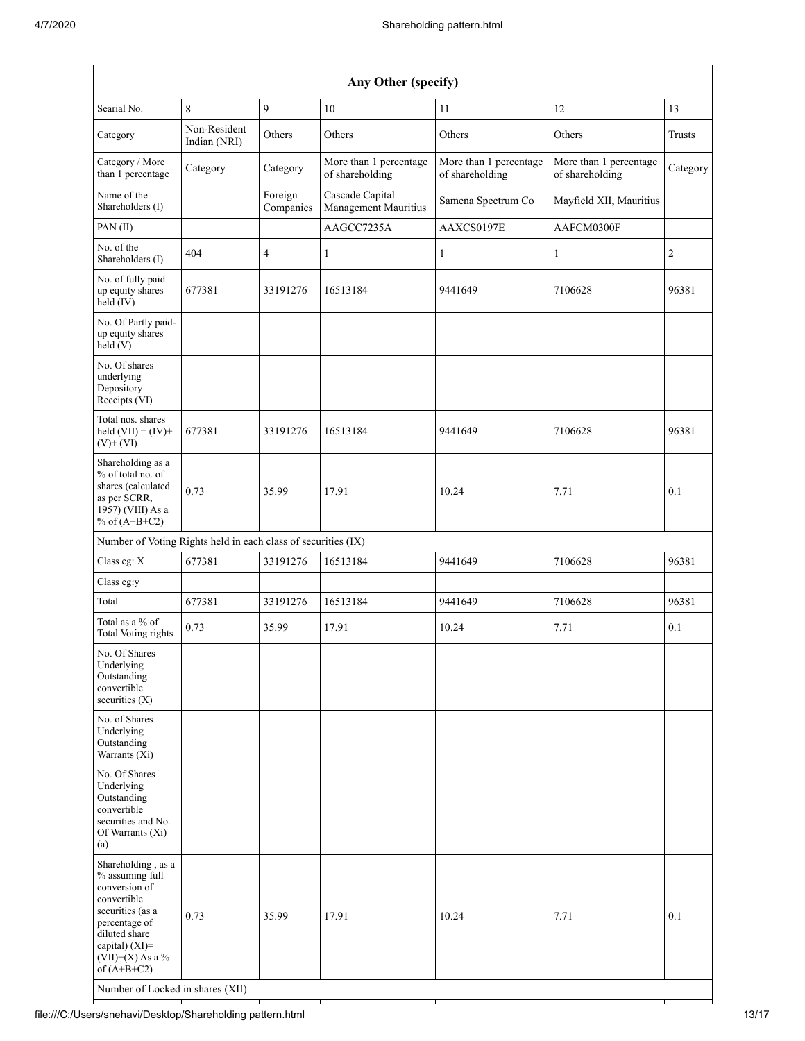| Any Other (specify)                                                                                                                                                                                                      |                              |                      |                                           |                                           |                                           |                |
|--------------------------------------------------------------------------------------------------------------------------------------------------------------------------------------------------------------------------|------------------------------|----------------------|-------------------------------------------|-------------------------------------------|-------------------------------------------|----------------|
| Searial No.                                                                                                                                                                                                              | $\,8\,$                      | 9                    | 10                                        | 11                                        | 12                                        | 13             |
| Category                                                                                                                                                                                                                 | Non-Resident<br>Indian (NRI) | Others               | Others                                    | Others                                    | Others                                    | Trusts         |
| Category / More<br>than 1 percentage                                                                                                                                                                                     | Category                     | Category             | More than 1 percentage<br>of shareholding | More than 1 percentage<br>of shareholding | More than 1 percentage<br>of shareholding | Category       |
| Name of the<br>Shareholders (I)                                                                                                                                                                                          |                              | Foreign<br>Companies | Cascade Capital<br>Management Mauritius   | Samena Spectrum Co                        | Mayfield XII, Mauritius                   |                |
| PAN (II)                                                                                                                                                                                                                 |                              |                      | AAGCC7235A                                | AAXCS0197E                                | AAFCM0300F                                |                |
| No. of the<br>Shareholders (I)                                                                                                                                                                                           | 404                          | 4                    | $\mathbf{1}$                              | $\mathbf{1}$                              | $\mathbf{1}$                              | $\overline{c}$ |
| No. of fully paid<br>up equity shares<br>held (IV)                                                                                                                                                                       | 677381                       | 33191276             | 16513184                                  | 9441649                                   | 7106628                                   | 96381          |
| No. Of Partly paid-<br>up equity shares<br>held (V)                                                                                                                                                                      |                              |                      |                                           |                                           |                                           |                |
| No. Of shares<br>underlying<br>Depository<br>Receipts (VI)                                                                                                                                                               |                              |                      |                                           |                                           |                                           |                |
| Total nos. shares<br>held $(VII) = (IV) +$<br>$(V)$ + $(VI)$                                                                                                                                                             | 677381                       | 33191276             | 16513184                                  | 9441649                                   | 7106628                                   | 96381          |
| Shareholding as a<br>% of total no. of<br>shares (calculated<br>as per SCRR,<br>1957) (VIII) As a<br>% of $(A+B+C2)$                                                                                                     | 0.73                         | 35.99                | 17.91                                     | 10.24                                     | 7.71                                      | 0.1            |
| Number of Voting Rights held in each class of securities (IX)                                                                                                                                                            |                              |                      |                                           |                                           |                                           |                |
| Class eg: X                                                                                                                                                                                                              | 677381                       | 33191276             | 16513184                                  | 9441649                                   | 7106628                                   | 96381          |
| Class eg:y                                                                                                                                                                                                               |                              |                      |                                           |                                           |                                           |                |
| Total                                                                                                                                                                                                                    | 677381                       | 33191276             | 16513184                                  | 9441649                                   | 7106628                                   | 96381          |
| Total as a % of<br>Total Voting rights                                                                                                                                                                                   | 0.73                         | 35.99                | 17.91                                     | 10.24                                     | 7.71                                      | 0.1            |
| No. Of Shares<br>Underlying<br>Outstanding<br>convertible<br>securities $(X)$                                                                                                                                            |                              |                      |                                           |                                           |                                           |                |
| No. of Shares<br>Underlying<br>Outstanding<br>Warrants (Xi)                                                                                                                                                              |                              |                      |                                           |                                           |                                           |                |
| No. Of Shares<br>Underlying<br>Outstanding<br>convertible<br>securities and No.<br>Of Warrants (Xi)<br>(a)                                                                                                               |                              |                      |                                           |                                           |                                           |                |
| Shareholding, as a<br>% assuming full<br>conversion of<br>convertible<br>securities (as a<br>percentage of<br>diluted share<br>capital) (XI)=<br>$(VII)+(X)$ As a %<br>of $(A+B+C2)$<br>Number of Locked in shares (XII) | 0.73                         | 35.99                | 17.91                                     | 10.24                                     | 7.71                                      | 0.1            |

 $\overline{\phantom{0}}$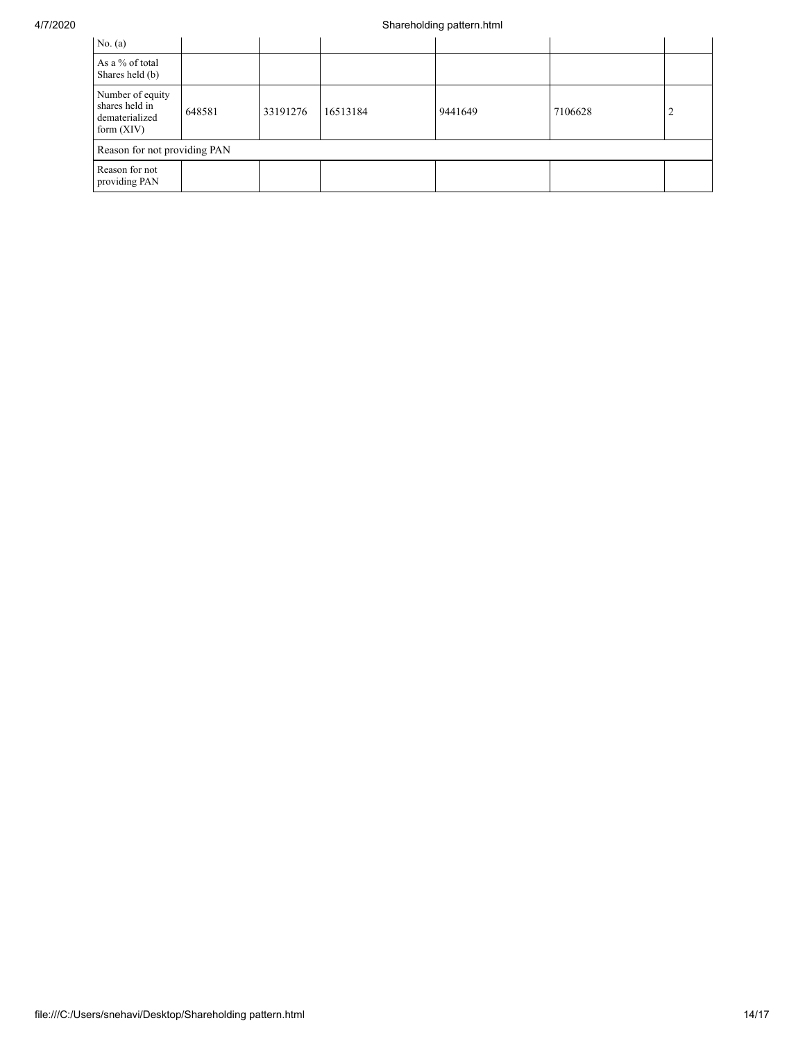| No. $(a)$                                                            |        |          |          |         |         |   |
|----------------------------------------------------------------------|--------|----------|----------|---------|---------|---|
| As a % of total<br>Shares held (b)                                   |        |          |          |         |         |   |
| Number of equity<br>shares held in<br>dematerialized<br>form $(XIV)$ | 648581 | 33191276 | 16513184 | 9441649 | 7106628 | ∽ |
| Reason for not providing PAN                                         |        |          |          |         |         |   |
| Reason for not<br>providing PAN                                      |        |          |          |         |         |   |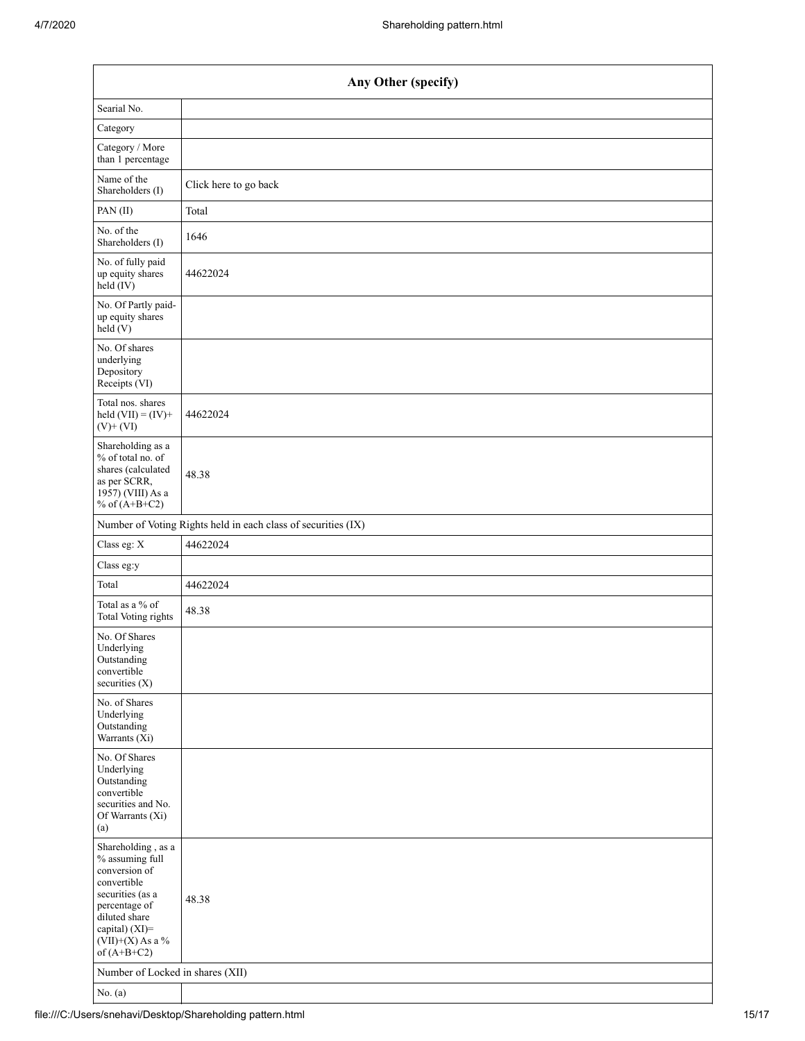| Any Other (specify)                                                                                                                                                                  |                                                               |  |  |  |  |  |  |
|--------------------------------------------------------------------------------------------------------------------------------------------------------------------------------------|---------------------------------------------------------------|--|--|--|--|--|--|
| Searial No.                                                                                                                                                                          |                                                               |  |  |  |  |  |  |
| Category                                                                                                                                                                             |                                                               |  |  |  |  |  |  |
| Category / More<br>than 1 percentage                                                                                                                                                 |                                                               |  |  |  |  |  |  |
| Name of the<br>Shareholders (I)                                                                                                                                                      | Click here to go back                                         |  |  |  |  |  |  |
| PAN(II)                                                                                                                                                                              | Total                                                         |  |  |  |  |  |  |
| No. of the<br>Shareholders (I)                                                                                                                                                       | 1646                                                          |  |  |  |  |  |  |
| No. of fully paid<br>up equity shares<br>$\text{held}(\text{IV})$                                                                                                                    | 44622024                                                      |  |  |  |  |  |  |
| No. Of Partly paid-<br>up equity shares<br>held(V)                                                                                                                                   |                                                               |  |  |  |  |  |  |
| No. Of shares<br>underlying<br>Depository<br>Receipts (VI)                                                                                                                           |                                                               |  |  |  |  |  |  |
| Total nos. shares<br>held $(VII) = (IV) +$<br>$(V)$ + $(VI)$                                                                                                                         | 44622024                                                      |  |  |  |  |  |  |
| Shareholding as a<br>% of total no. of<br>shares (calculated<br>as per SCRR,<br>1957) (VIII) As a<br>% of $(A+B+C2)$                                                                 | 48.38                                                         |  |  |  |  |  |  |
|                                                                                                                                                                                      | Number of Voting Rights held in each class of securities (IX) |  |  |  |  |  |  |
| Class eg: X                                                                                                                                                                          | 44622024                                                      |  |  |  |  |  |  |
| Class eg:y                                                                                                                                                                           |                                                               |  |  |  |  |  |  |
| Total                                                                                                                                                                                | 44622024                                                      |  |  |  |  |  |  |
| Total as a % of<br><b>Total Voting rights</b>                                                                                                                                        | 48.38                                                         |  |  |  |  |  |  |
| No. Of Shares<br>Underlying<br>Outstanding<br>convertible<br>securities (X)                                                                                                          |                                                               |  |  |  |  |  |  |
| No. of Shares<br>Underlying<br>Outstanding<br>Warrants $(X_i)$                                                                                                                       |                                                               |  |  |  |  |  |  |
| No. Of Shares<br>Underlying<br>Outstanding<br>convertible<br>securities and No.<br>Of Warrants (Xi)<br>(a)                                                                           |                                                               |  |  |  |  |  |  |
| Shareholding, as a<br>% assuming full<br>conversion of<br>convertible<br>securities (as a<br>percentage of<br>diluted share<br>capital) (XI)=<br>$(VII)+(X)$ As a %<br>of $(A+B+C2)$ | 48.38                                                         |  |  |  |  |  |  |
| Number of Locked in shares (XII)                                                                                                                                                     |                                                               |  |  |  |  |  |  |
| No. $(a)$                                                                                                                                                                            |                                                               |  |  |  |  |  |  |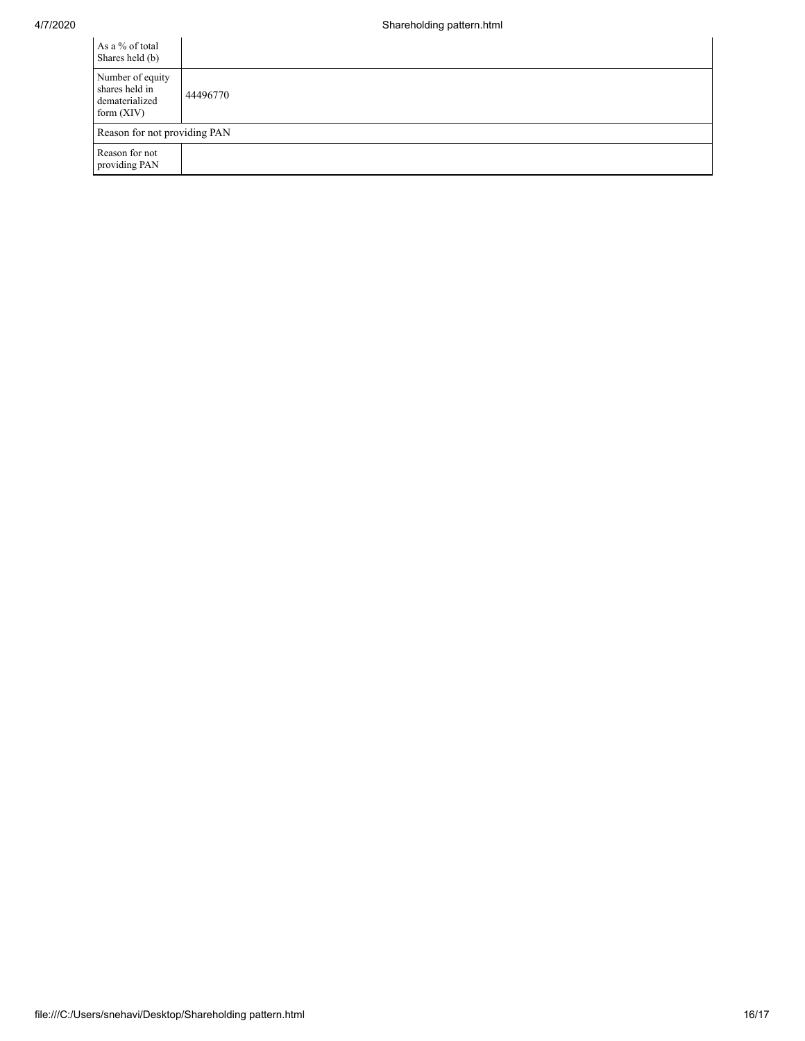| As a % of total<br>Shares held (b)                                   |          |
|----------------------------------------------------------------------|----------|
| Number of equity<br>shares held in<br>dematerialized<br>form $(XIV)$ | 44496770 |
| Reason for not providing PAN                                         |          |
| Reason for not<br>providing PAN                                      |          |